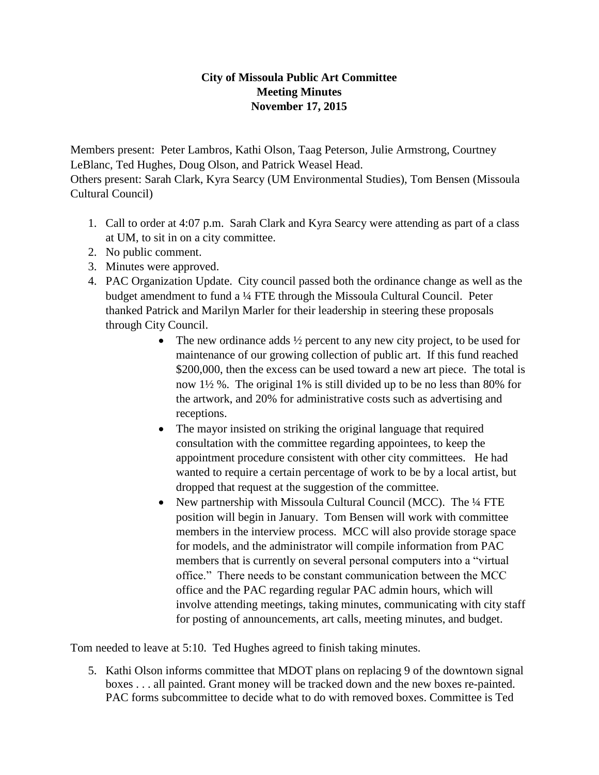## **City of Missoula Public Art Committee Meeting Minutes November 17, 2015**

Members present: Peter Lambros, Kathi Olson, Taag Peterson, Julie Armstrong, Courtney LeBlanc, Ted Hughes, Doug Olson, and Patrick Weasel Head.

Others present: Sarah Clark, Kyra Searcy (UM Environmental Studies), Tom Bensen (Missoula Cultural Council)

- 1. Call to order at 4:07 p.m. Sarah Clark and Kyra Searcy were attending as part of a class at UM, to sit in on a city committee.
- 2. No public comment.
- 3. Minutes were approved.
- 4. PAC Organization Update. City council passed both the ordinance change as well as the budget amendment to fund a ¼ FTE through the Missoula Cultural Council. Peter thanked Patrick and Marilyn Marler for their leadership in steering these proposals through City Council.
	- The new ordinance adds  $\frac{1}{2}$  percent to any new city project, to be used for maintenance of our growing collection of public art. If this fund reached \$200,000, then the excess can be used toward a new art piece. The total is now 1½ %. The original 1% is still divided up to be no less than 80% for the artwork, and 20% for administrative costs such as advertising and receptions.
	- The mayor insisted on striking the original language that required consultation with the committee regarding appointees, to keep the appointment procedure consistent with other city committees. He had wanted to require a certain percentage of work to be by a local artist, but dropped that request at the suggestion of the committee.
	- New partnership with Missoula Cultural Council (MCC). The  $\frac{1}{4}$  FTE position will begin in January. Tom Bensen will work with committee members in the interview process. MCC will also provide storage space for models, and the administrator will compile information from PAC members that is currently on several personal computers into a "virtual office." There needs to be constant communication between the MCC office and the PAC regarding regular PAC admin hours, which will involve attending meetings, taking minutes, communicating with city staff for posting of announcements, art calls, meeting minutes, and budget.

Tom needed to leave at 5:10. Ted Hughes agreed to finish taking minutes.

5. Kathi Olson informs committee that MDOT plans on replacing 9 of the downtown signal boxes . . . all painted. Grant money will be tracked down and the new boxes re-painted. PAC forms subcommittee to decide what to do with removed boxes. Committee is Ted